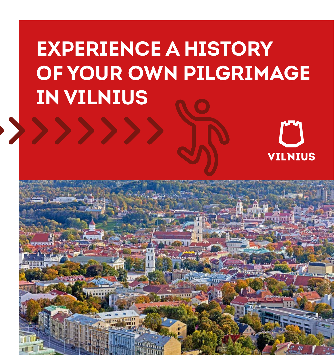# **EXPERIENCE A HISTORY OF YOUR OWN PILGRIMAGE IN VILNIUS**

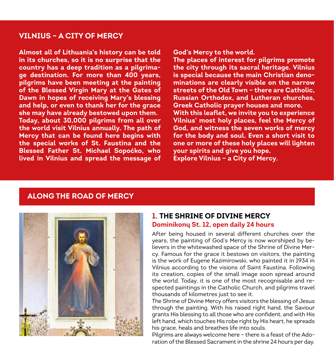#### **VILNIUS – A CITY OF MERCY**

**Almost all of Lithuania's history can be told in its churches, so it is no surprise that the country has a deep tradition as a pilgrimage destination. For more than 400 years, pilgrims have been meeting at the painting of the Blessed Virgin Mary at the Gates of Dawn in hopes of receiving Mary's blessing and help, or even to thank her for the grace she may have already bestowed upon them. Today, about 30,000 pilgrims from all over the world visit Vilnius annually. The path of Mercy that can be found here begins with the special works of St. Faustina and the Blessed Father St. Michael Sopoćko, who lived in Vilnius and spread the message of**  **God's Mercy to the world.**

**The places of interest for pilgrims promote the city through its sacral heritage. Vilnius is special because the main Christian denominations are clearly visible on the narrow streets of the Old Town – there are Catholic, Russian Orthodox, and Lutheran churches, Greek Catholic prayer houses and more. With this leaflet, we invite you to experience Vilnius' most holy places, feel the Mercy of God, and witness the seven works of mercy for the body and soul. Even a short visit to one or more of these holy places will lighten your spirits and give you hope.** 

**Explore Vilnius – a City of Mercy.**

#### **ALONG THE ROAD OF MERCY**



#### **1. THE SHRINE OF DIVINE MERCY Dominikonų St. 12, open daily 24 hours**

After being housed in several different churches over the years, the painting of God's Mercy is now worshiped by believers in the whitewashed space of the Shrine of Divine Mercy. Famous for the grace it bestows on visitors, the painting is the work of Eugene Kazimirowski, who painted it in 1934 in Vilnius according to the visions of Saint Faustina. Following its creation, copies of the small image soon spread around the world. Today, it is one of the most recognisable and respected paintings in the Catholic Church, and pilgrims travel thousands of kilometres just to see it.

The Shrine of Divine Mercy offers visitors the blessing of Jesus through the painting. With his raised right hand, the Saviour grants His blessing to all those who are confident, and with His left hand, which touches His robe right by His heart, he spreads his grace, heals and breathes life into souls.

Pilgrims are always welcome here – there is a feast of the Adoration of the Blessed Sacrament in the shrine 24 hours per day.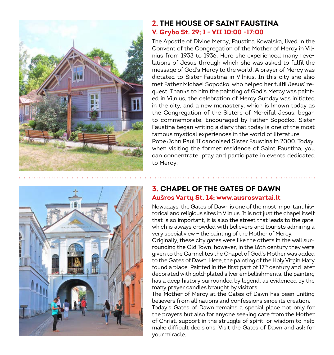

#### **2. THE HOUSE OF SAINT FAUSTINA V. Grybo St. 29; I - VII 10:00 -17:00**

The Apostle of Divine Mercy, Faustina Kowalska, lived in the Convent of the Congregation of the Mother of Mercy in Vilnius from 1933 to 1936. Here she experienced many revelations of Jesus through which she was asked to fulfil the message of God's Mercy to the world. A prayer of Mercy was dictated to Sister Faustina in Vilnius. In this city she also met Father Michael Sopoćko, who helped her fulfil Jesus' request. Thanks to him the painting of God's Mercy was painted in Vilnius, the celebration of Mercy Sunday was initiated in the city, and a new monastery, which is known today as the Congregation of the Sisters of Merciful Jesus, began to commemorate. Encouraged by Father Sopoćko, Sister Faustina began writing a diary that today is one of the most famous mystical experiences in the world of literature. Pope John Paul II canonised Sister Faustina in 2000. Today, when visiting the former residence of Saint Faustina, you can concentrate, pray and participate in events dedicated to Mercy.



#### **3. CHAPEL OF THE GATES OF DAWN Aušros Vartų St. 14; www.ausrosvartai.lt**

Nowadays, the Gates of Dawn is one of the most important historical and religious sites in Vilnius. It is not just the chapel itself that is so important, it is also the street that leads to the gate, which is always crowded with believers and tourists admiring a very special view – the painting of the Mother of Mercy.

Originally, these city gates were like the others in the wall surrounding the Old Town; however, in the 16th century they were given to the Carmelites the Chapel of God's Mother was added to the Gates of Dawn. Here, the painting of the Holy Virgin Mary found a place. Painted in the first part of 17<sup>th</sup> century and later decorated with gold-plated silver embellishments, the painting has a deep history surrounded by legend, as evidenced by the many prayer candles brought by visitors.

The Mother of Mercy at the Gates of Dawn has been uniting believers from all nations and confessions since its creation.

Today's Gates of Dawn remains a special place not only for the prayers but also for anyone seeking care from the Mother of Christ, support in the struggle of spirit, or wisdom to help make difficult decisions. Visit the Gates of Dawn and ask for your miracle.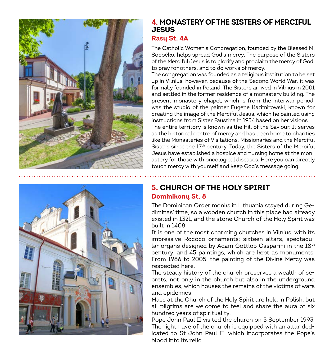

#### **4. MONASTERY OF THE SISTERS OF MERCIFUL JESUS**

#### **Rasų St. 4A**

The Catholic Women's Congregation, founded by the Blessed M. Sopoćko, helps spread God's mercy. The purpose of the Sisters of the Merciful Jesus is to glorify and proclaim the mercy of God, to pray for others, and to do works of mercy.

The congregation was founded as a religious institution to be set up in Vilnius; however, because of the Second World War, it was formally founded in Poland. The Sisters arrived in Vilnius in 2001 and settled in the former residence of a monastery building. The present monastery chapel, which is from the interwar period, was the studio of the painter Eugene Kazimirowski, known for creating the image of the Merciful Jesus, which he painted using instructions from Sister Faustina in 1934 based on her visions. The entire territory is known as the Hill of the Saviour. It serves as the historical centre of mercy and has been home to charities

like the Monasteries of Visitations, Missionaries and the Merciful Sisters since the 17<sup>th</sup> century. Today, the Sisters of the Merciful Jesus have established a hospice and nursing home at the monastery for those with oncological diseases. Here you can directly touch mercy with yourself and keep God's message going.

#### **5. CHURCH OF THE HOLY SPIRIT Dominikonų St. 8**

The Dominican Order monks in Lithuania stayed during Gediminas' time, so a wooden church in this place had already existed in 1321, and the stone Church of the Holy Spirit was built in 1408.

It is one of the most charming churches in Vilnius, with its impressive Rococo ornaments; sixteen altars, spectacular organs designed by Adam Gottlob Casparini in the 18th century, and 45 paintings, which are kept as monuments. From 1986 to 2005, the painting of the Divine Mercy was respected here.

The steady history of the church preserves a wealth of secrets, not only in the church but also in the underground ensembles, which houses the remains of the victims of wars and epidemics

Mass at the Church of the Holy Spirit are held in Polish, but all pilgrims are welcome to feel and share the aura of six hundred years of spirituality.

Pope John Paul II visited the church on 5 September 1993. The right nave of the church is equipped with an altar dedicated to St John Paul II, which incorporates the Pope's blood into its relic.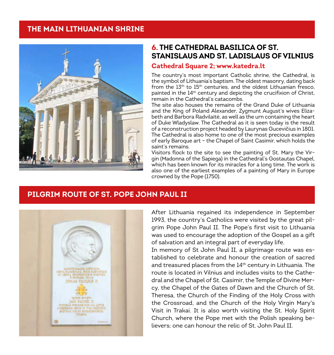#### **THE MAIN LITHUANIAN SHRINE**



#### **6. THE CATHEDRAL BASILICA OF ST. STANISLAUS AND ST. LADISLAUS OF VILNIUS**

#### **Cathedral Square 2; www.katedra.lt**

The country's most important Catholic shrine, the Cathedral, is the symbol of Lithuania's baptism. The oldest masonry, dating back from the  $13<sup>th</sup>$  to  $15<sup>th</sup>$  centuries, and the oldest Lithuanian fresco. painted in the 14<sup>th</sup> century and depicting the crucifixion of Christ, remain in the Cathedral's catacombs.

The site also houses the remains of the Grand Duke of Lithuania and the King of Poland Alexander, Zygmunt August's wives Elizabeth and Barbora Radvilaitė, as well as the urn containing the heart of Duke Wladyslaw. The Cathedral as it is seen today is the result of a reconstruction project headed by Laurynas Gucevičius in 1801. The Cathedral is also home to one of the most precious examples of early Baroque art – the Chapel of Saint Casimir, which holds the saint's remains.

Visitors flock to the site to see the painting of St. Mary the Virgin (Madonna of the Sapiega) in the Cathedral's Gostautas Chapel, which has been known for its miracles for a long time. The work is also one of the earliest examples of a painting of Mary in Europe crowned by the Pope (1750).

### **PILGRIM ROUTE OF ST. POPE JOHN PAUL II**



After Lithuania regained its independence in September 1993, the country's Catholics were visited by the great pilgrim Pope John Paul II. The Pope's first visit to Lithuania was used to encourage the adoption of the Gospel as a gift of salvation and an integral part of everyday life.

In memory of St John Paul II, a pilgrimage route was established to celebrate and honour the creation of sacred and treasured places from the 14<sup>th</sup> century in Lithuania. The route is located in Vilnius and includes visits to the Cathedral and the Chapel of St. Casimir, the Temple of Divine Mercy, the Chapel of the Gates of Dawn and the Church of St. Theresa, the Church of the Finding of the Holy Cross with the Crossroad, and the Church of the Holy Virgin Mary's Visit in Trakai. It is also worth visiting the St. Holy Spirit Church, where the Pope met with the Polish speaking believers; one can honour the relic of St. John Paul II.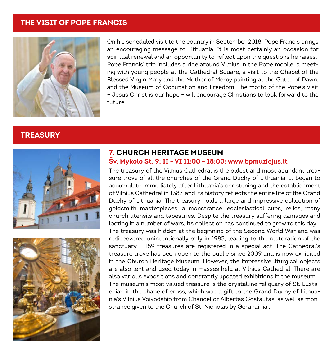#### **THE VISIT OF POPE FRANCIS**



On his scheduled visit to the country in September 2018, Pope Francis brings an encouraging message to Lithuania. It is most certainly an occasion for spiritual renewal and an opportunity to reflect upon the questions he raises. Pope Francis' trip includes a ride around Vilnius in the Pope mobile, a meeting with young people at the Cathedral Square, a visit to the Chapel of the Blessed Virgin Mary and the Mother of Mercy painting at the Gates of Dawn, and the Museum of Occupation and Freedom. The motto of the Pope's visit – Jesus Christ is our hope – will encourage Christians to look forward to the future.

#### **TREASURY**





#### **7. CHURCH HERITAGE MUSEUM Šv. Mykolo St. 9; II - VI 11:00 - 18:00; www.bpmuziejus.lt**

The treasury of the Vilnius Cathedral is the oldest and most abundant treasure trove of all the churches of the Grand Duchy of Lithuania. It began to accumulate immediately after Lithuania's christening and the establishment of Vilnius Cathedral in 1387, and its history reflects the entire life of the Grand Duchy of Lithuania. The treasury holds a large and impressive collection of goldsmith masterpieces; a monstrance, ecclesiastical cups, relics, many church utensils and tapestries. Despite the treasury suffering damages and looting in a number of wars, its collection has continued to grow to this day. The treasury was hidden at the beginning of the Second World War and was rediscovered unintentionally only in 1985, leading to the restoration of the sanctuary – 189 treasures are registered in a special act. The Cathedral's treasure trove has been open to the public since 2009 and is now exhibited in the Church Heritage Museum. However, the impressive liturgical objects are also lent and used today in masses held at Vilnius Cathedral. There are also various expositions and constantly updated exhibitions in the museum. The museum's most valued treasure is the crystalline reliquary of St. Eustachian in the shape of cross, which was a gift to the Grand Duchy of Lithuania's Vilnius Voivodship from Chancellor Albertas Gostautas, as well as monstrance given to the Church of St. Nicholas by Geranainiai.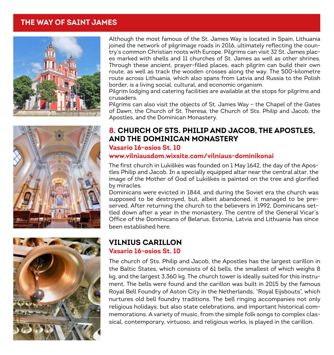#### **THE WAY OF SAINT JAMES**







Although the most famous of the St. James Way is located in Spain, Lithuania joined the network of pilgrimage roads in 2016, ultimately reflecting the country's common Christian roots with Europe. Pilgrims can visit 32 St. James places marked with shells and 11 churches of St. James as well as other shrines. Through these ancient, prayer-filled places, each pilgrim can build their own route, as well as track the wooden crosses along the way. The 500-kilometre route across Lithuania, which also spans from Latvia and Russia to the Polish border, is a living social, cultural, and economic organism.

Pilgrim lodging and catering facilities are available at the stops for pilgrims and crusaders.

Pilgrims can also visit the objects of St. James Way – the Chapel of the Gates of Dawn, the Church of St. Theresa, the Church of Sts. Philip and Jacob, the Apostles, and the Dominican Monastery.

#### **8. CHURCH OF STS. PHILIP AND JACOB, THE APOSTLES, AND THE DOMINICAN MONASTERY Vasario 16-osios St. 10**

#### **www.vilniausdom.wixsite.com/vilniaus-dominikonai**

The first church in Lukiškės was founded on 1 May 1642, the day of the Apostles Philip and Jacob. In a specially equipped altar near the central altar, the image of the Mother of God of Lukiškės is painted on the tree and glorified by miracles.

Dominicans were evicted in 1844, and during the Soviet era the church was supposed to be destroyed, but, albeit abandoned, it managed to be preserved. After returning the church to the believers in 1992, Dominicans settled down after a year in the monastery. The centre of the General Vicar's Office of the Dominicans of Belarus, Estonia, Latvia and Lithuania has since been established here.

#### **VILNIUS CARILLON Vasario 16-osios St. 10**

The church of Sts. Philip and Jacob, the Apostles has the largest carillon in the Baltic States, which consists of 61 bells, the smallest of which weighs 8 kg, and the largest 3,360 kg. The church tower is ideally suited for this instrument. The bells were found and the carillon was built in 2015 by the famous Royal Bell Foundry of Aston City in the Netherlands, "Royal Eijsbouts", which nurtures old bell foundry traditions. The bell ringing accompanies not only religious holidays, but also state celebrations, and important historical commemorations. A variety of music, from the simple folk songs to complex classical, contemporary, virtuoso, and religious works, is played in the carillon.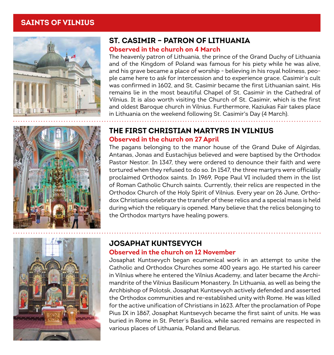#### **SAINTS OF VILNIUS**



#### **ST. CASIMIR – PATRON OF LITHUANIA**

#### **Observed in the church on 4 March**

The heavenly patron of Lithuania, the prince of the Grand Duchy of Lithuania and of the Kingdom of Poland was famous for his piety while he was alive, and his grave became a place of worship - believing in his royal holiness, people came here to ask for intercession and to experience grace. Casimir's cult was confirmed in 1602, and St. Casimir became the first Lithuanian saint. His remains lie in the most beautiful Chapel of St. Casimir in the Cathedral of Vilnius. It is also worth visiting the Church of St. Casimir, which is the first and oldest Baroque church in Vilnius. Furthermore, Kaziukas Fair takes place in Lithuania on the weekend following St. Casimir's Day (4 March).



#### **THE FIRST CHRISTIAN MARTYRS IN VILNIUS Observed in the church on 27 April**

The pagans belonging to the manor house of the Grand Duke of Algirdas, Antanas, Jonas and Eustachijus believed and were baptised by the Orthodox Pastor Nestor. In 1347, they were ordered to denounce their faith and were tortured when they refused to do so. In 1547, the three martyrs were officially proclaimed Orthodox saints. In 1969, Pope Paul VI included them in the list of Roman Catholic Church saints. Currently, their relics are respected in the Orthodox Church of the Holy Spirit of Vilnius. Every year on 26 June, Orthodox Christians celebrate the transfer of these relics and a special mass is held during which the reliquary is opened. Many believe that the relics belonging to the Orthodox martyrs have healing powers.



#### **JOSAPHAT KUNTSEVYCH Observed in the church on 12 November**

### Josaphat Kuntsevych began ecumenical work in an attempt to unite the Catholic and Orthodox Churches some 400 years ago. He started his career

in Vilnius where he entered the Vilnius Academy, and later became the Archimandrite of the Vilnius Basilicum Monastery. In Lithuania, as well as being the Archbishop of Polotsk, Josaphat Kuntsevych actively defended and asserted the Orthodox communities and re-established unity with Rome. He was killed for the active unification of Christians in 1623. After the proclamation of Pope Pius IX in 1867, Josaphat Kuntsevych became the first saint of units. He was buried in Rome in St. Peter's Basilica, while sacred remains are respected in various places of Lithuania, Poland and Belarus.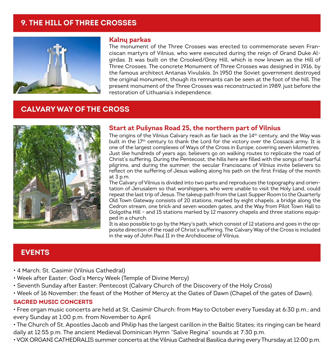#### **9. THE HILL OF THREE CROSSES**



#### **Kalnų parkas**

The monument of the Three Crosses was erected to commemorate seven Franciscan martyrs of Vilnius, who were executed during the reign of Grand Duke Algirdas. It was built on the Crooked/Grey Hill, which is now known as the Hill of Three Crosses. The concrete Monument of Three Crosses was designed in 1916, by the famous architect Antanas Vivulskis. In 1950 the Soviet government destroyed the original monument, though its remnants can be seen at the foot of the hill. The present monument of the Three Crosses was reconstructed in 1989, just before the restoration of Lithuania's independence.

#### **CALVARY WAY OF THE CROSS**



#### **Start at Pušynas Road 25, the northern part of Vilnius**

The origins of the Vilnius Calvary reach as far back as the  $14<sup>th</sup>$  century, and the Way was built in the 17<sup>th</sup> century to thank the Lord for the victory over the Cossack army. It is one of the largest complexes of Ways of the Cross in Europe, covering seven kilometres. Just like hundreds of years ago, believers go on walking routes to replicate the road of Christ's suffering. During the Pentecost, the hills here are filled with the songs of tearful pilgrims, and during the summer, the secular Franciscans of Vilnius invite believers to reflect on the suffering of Jesus walking along his path on the first Friday of the month at 3 p.m.

The Calvary of Vilnius is divided into two parts and reproduces the topography and orientation of Jerusalem so that worshippers, who were unable to visit the Holy Land, could repeat the last trip of Jesus. The takeup path from the Last Supper Room to the Quarterly Old Town Gateway consists of 20 stations, marked by eight chapels, a bridge along the Cedron stream, one brick and seven wooden gates, and the Way from Pilot Town Hall to Golgotha Hill – and 15 stations marked by 12 masonry chapels and three stations equipped in a church.

It is also possible to go by the Mary's path, which consist of 12 stations and goes in the opposite direction of the road of Christ's suffering. The Calvary Way of the Cross is included in the way of John Paul II in the Archdiocese of Vilnius.

#### **EVENTS**

- 4 March; St. Casimir (Vilnius Cathedral)
- Week after Easter; God's Mercy Week (Temple of Divine Mercy)
- Seventh Sunday after Easter; Pentecost (Calvary Church of the Discovery of the Holy Cross)
- Week of 16 November; the feast of the Mother of Mercy at the Gates of Dawn (Chapel of the gates of Dawn).

#### **SACRED MUSIC CONCERTS**

• Free organ music concerts are held at St. Casimir Church: from May to October every Tuesday at 6:30 p.m.; and every Sunday at 1;00 p.m. from November to April

• The Church of St. Apostles Jacob and Philip has the largest carillon in the Baltic States; its ringing can be heard daily at 12:55 p.m. The ancient Medieval Dominican Hymn "Salve Regina" sounds at 7:30 p.m.

• VOX ORGANI CATHEDRALIS summer concerts at the Vilnius Cathedral Basilica during every Thursday at 12:00 p.m.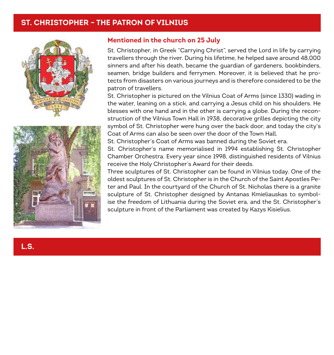#### **ST. CHRISTOPHER – THE PATRON OF VILNIUS**





#### **Mentioned in the church on 25 July**

St. Christopher, in Greek "Carrying Christ", served the Lord in life by carrying travellers through the river. During his lifetime, he helped save around 48,000 sinners and after his death, became the guardian of gardeners, bookbinders, seamen, bridge builders and ferrymen. Moreover, it is believed that he protects from disasters on various journeys and is therefore considered to be the patron of travellers.

St. Christopher is pictured on the Vilnius Coat of Arms (since 1330) wading in the water, leaning on a stick, and carrying a Jesus child on his shoulders. He blesses with one hand and in the other is carrying a globe. During the reconstruction of the Vilnius Town Hall in 1938, decorative grilles depicting the city symbol of St. Christopher were hung over the back door, and today the city's Coat of Arms can also be seen over the door of the Town Hall.

St. Christopher's Coat of Arms was banned during the Soviet era.

St. Christopher's name memorialised in 1994 establishing St. Christopher Chamber Orchestra. Every year since 1998, distinguished residents of Vilnius receive the Holy Christopher's Award for their deeds.

Three sculptures of St. Christopher can be found in Vilnius today. One of the oldest sculptures of St. Christopher is in the Church of the Saint Apostles Peter and Paul. In the courtyard of the Church of St. Nicholas there is a granite sculpture of St. Christopher designed by Antanas Kmieliauskas to symbolise the freedom of Lithuania during the Soviet era, and the St. Christopher's sculpture in front of the Parliament was created by Kazys Kisielius.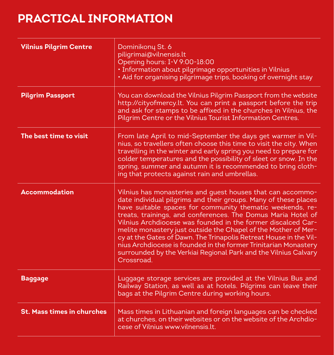# **PRACTICAL INFORMATION**

| <b>Vilnius Pilgrim Centre</b>     | Dominikonų St. 6<br>piligrimai@vilnensis.lt<br>Opening hours: I-V 9:00-18:00<br>• Information about pilgrimage opportunities in Vilnius<br>· Aid for organising pilgrimage trips, booking of overnight stay                                                                                                                                                                                                                                                                                                                                                                                                           |
|-----------------------------------|-----------------------------------------------------------------------------------------------------------------------------------------------------------------------------------------------------------------------------------------------------------------------------------------------------------------------------------------------------------------------------------------------------------------------------------------------------------------------------------------------------------------------------------------------------------------------------------------------------------------------|
| <b>Pilgrim Passport</b>           | You can download the Vilnius Pilgrim Passport from the website<br>http://cityofmercy.lt. You can print a passport before the trip<br>and ask for stamps to be affixed in the churches in Vilnius, the<br>Pilgrim Centre or the Vilnius Tourist Information Centres.                                                                                                                                                                                                                                                                                                                                                   |
| The best time to visit            | From late April to mid-September the days get warmer in Vil-<br>nius, so travellers often choose this time to visit the city. When<br>travelling in the winter and early spring you need to prepare for<br>colder temperatures and the possibility of sleet or snow. In the<br>spring, summer and autumn it is recommended to bring cloth-<br>ing that protects against rain and umbrellas.                                                                                                                                                                                                                           |
| <b>Accommodation</b>              | Vilnius has monasteries and quest houses that can accommo-<br>date individual pilgrims and their groups. Many of these places<br>have suitable spaces for community thematic weekends, re-<br>treats, trainings, and conferences. The Domus Maria Hotel of<br>Vilnius Archdiocese was founded in the former discalced Car-<br>melite monastery just outside the Chapel of the Mother of Mer-<br>cy at the Gates of Dawn. The Trinapolis Retreat House in the Vil-<br>nius Archdiocese is founded in the former Trinitarian Monastery<br>surrounded by the Verkiai Regional Park and the Vilnius Calvary<br>Crossroad. |
| Baggage                           | Luggage storage services are provided at the Vilnius Bus and<br>Railway Station, as well as at hotels. Pilgrims can leave their<br>bags at the Pilgrim Centre during working hours.                                                                                                                                                                                                                                                                                                                                                                                                                                   |
| <b>St. Mass times in churches</b> | Mass times in Lithuanian and foreign languages can be checked<br>at churches, on their websites or on the website of the Archdio-<br>cese of Vilnius www.vilnensis.lt.                                                                                                                                                                                                                                                                                                                                                                                                                                                |